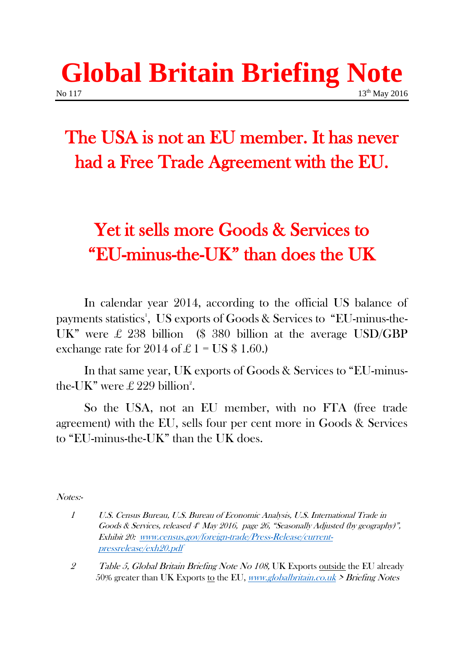## **Global Britain Briefing Note** No 117 13<sup>th</sup> May 2016

## The USA is not an EU member. It has never had a Free Trade Agreement with the EU.

## Yet it sells more Goods & Services to "EU-minus-the-UK" than does the UK

In calendar year 2014, according to the official US balance of payments statistics<sup>1</sup>, US exports of Goods & Services to "EU-minus-the-UK" were  $\pounds$  238 billion (\$ 380 billion at the average USD/GBP exchange rate for 2014 of £ 1 = US  $$ 1.60$ .

In that same year, UK exports of Goods & Services to "EU-minusthe-UK" were  $\pounds 229$  billion<sup>2</sup>.

So the USA, not an EU member, with no FTA (free trade agreement) with the EU, sells four per cent more in Goods & Services to "EU-minus-the-UK" than the UK does.

Notes:-

<sup>1</sup> U.S. Census Bureau, U.S. Bureau of Economic Analysis, U.S. International Trade in Goods & Services, released  $4^{\circ}$  May 2016, page 26, "Seasonally Adjusted (by geography)", Exhibit 20: [www.census.gov/foreign-trade/Press-Release/current](http://www.census.gov/foreign-trade/Press-Release/current-pressrelease/exh20.pdf)[pressrelease/exh20.pdf](http://www.census.gov/foreign-trade/Press-Release/current-pressrelease/exh20.pdf)

<sup>2</sup> Table 5, Global Britain Briefing Note No 108, UK Exports outside the EU already 50% greater than UK Exports to the EU, *[www.globalbritain.co.uk](http://www.globalbritain.co.uk/)* > Briefing Notes